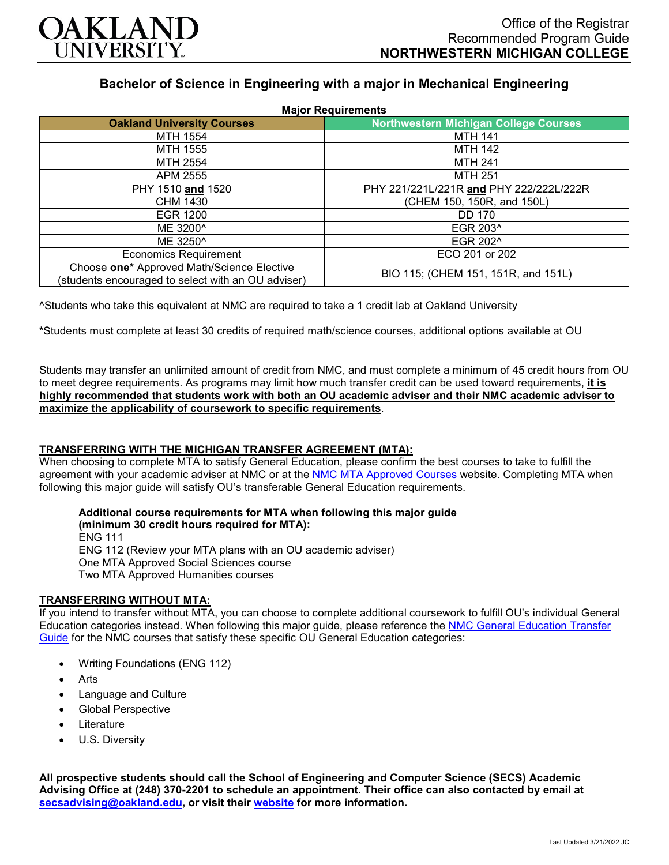

# **Bachelor of Science in Engineering with a major in Mechanical Engineering**

| <b>Major Requirements</b>                                                                        |                                              |
|--------------------------------------------------------------------------------------------------|----------------------------------------------|
| <b>Oakland University Courses</b>                                                                | <b>Northwestern Michigan College Courses</b> |
| MTH 1554                                                                                         | <b>MTH 141</b>                               |
| MTH 1555                                                                                         | <b>MTH 142</b>                               |
| MTH 2554                                                                                         | <b>MTH 241</b>                               |
| APM 2555                                                                                         | <b>MTH 251</b>                               |
| PHY 1510 and 1520                                                                                | PHY 221/221L/221R and PHY 222/222L/222R      |
| CHM 1430                                                                                         | (CHEM 150, 150R, and 150L)                   |
| EGR 1200                                                                                         | <b>DD 170</b>                                |
| ME 3200^                                                                                         | EGR 203 <sup>^</sup>                         |
| ME 3250 <sup>^</sup>                                                                             | EGR 202 <sup>^</sup>                         |
| <b>Economics Requirement</b>                                                                     | ECO 201 or 202                               |
| Choose one* Approved Math/Science Elective<br>(students encouraged to select with an OU adviser) | BIO 115; (CHEM 151, 151R, and 151L)          |

^Students who take this equivalent at NMC are required to take a 1 credit lab at Oakland University

**\***Students must complete at least 30 credits of required math/science courses, additional options available at OU

Students may transfer an unlimited amount of credit from NMC, and must complete a minimum of 45 credit hours from OU to meet degree requirements. As programs may limit how much transfer credit can be used toward requirements, **it is highly recommended that students work with both an OU academic adviser and their NMC academic adviser to maximize the applicability of coursework to specific requirements**.

#### **TRANSFERRING WITH THE MICHIGAN TRANSFER AGREEMENT (MTA):**

When choosing to complete MTA to satisfy General Education, please confirm the best courses to take to fulfill the agreement with your academic adviser at NMC or at the [NMC MTA Approved Courses](https://www.nmc.edu/programs/course-descriptions/group-1-courses-for-mta.pdf) website. Completing MTA when following this major guide will satisfy OU's transferable General Education requirements.

#### **Additional course requirements for MTA when following this major guide (minimum 30 credit hours required for MTA):**

ENG 111 ENG 112 (Review your MTA plans with an OU academic adviser) One MTA Approved Social Sciences course Two MTA Approved Humanities courses

## **TRANSFERRING WITHOUT MTA:**

If you intend to transfer without MTA, you can choose to complete additional coursework to fulfill OU's individual General Education categories instead. When following this major guide, please reference the [NMC General Education Transfer](https://www.oakland.edu/Assets/Oakland/program-guides/northwestern-michigan-college/university-general-education-requirements/Northwestern%20Gen%20Ed.pdf)  [Guide](https://www.oakland.edu/Assets/Oakland/program-guides/northwestern-michigan-college/university-general-education-requirements/Northwestern%20Gen%20Ed.pdf) for the NMC courses that satisfy these specific OU General Education categories:

- Writing Foundations (ENG 112)
- Arts
- Language and Culture
- Global Perspective
- **Literature**
- U.S. Diversity

**All prospective students should call the School of Engineering and Computer Science (SECS) Academic Advising Office at (248) 370-2201 to schedule an appointment. Their office can also contacted by email at [secsadvising@oakland.edu,](mailto:secsadvising@oakland.edu) or visit their [website](https://wwwp.oakland.edu/secs/advising/) for more information.**